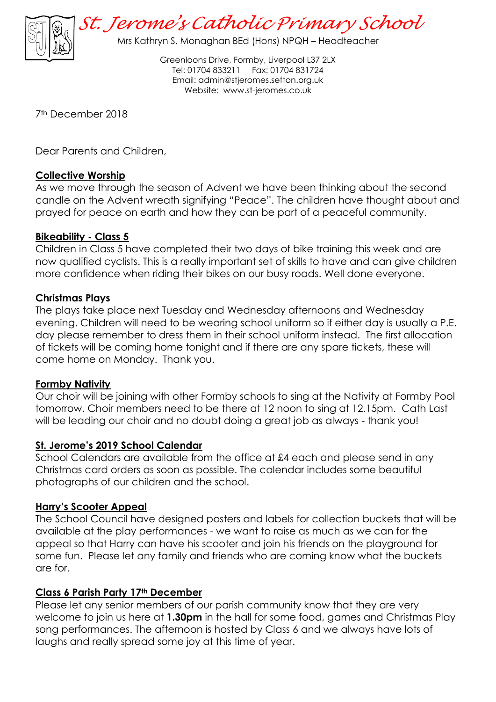

*St. Jerome's Catholic Primary School*

Mrs Kathryn S. Monaghan BEd (Hons) NPQH – Headteacher

Greenloons Drive, Formby, Liverpool L37 2LX Tel: 01704 833211 Fax: 01704 831724 Email: [admin@stjeromes.sefton.org.uk](mailto:admin.stjeromes@schools.sefton.gov.uk) Website: [www.st-jeromes.co.uk](http://www.st-jeromes.co.uk/)

7th December 2018

Dear Parents and Children,

# **Collective Worship**

As we move through the season of Advent we have been thinking about the second candle on the Advent wreath signifying "Peace". The children have thought about and prayed for peace on earth and how they can be part of a peaceful community.

# **Bikeability - Class 5**

Children in Class 5 have completed their two days of bike training this week and are now qualified cyclists. This is a really important set of skills to have and can give children more confidence when riding their bikes on our busy roads. Well done everyone.

# **Christmas Plays**

The plays take place next Tuesday and Wednesday afternoons and Wednesday evening. Children will need to be wearing school uniform so if either day is usually a P.E. day please remember to dress them in their school uniform instead. The first allocation of tickets will be coming home tonight and if there are any spare tickets, these will come home on Monday. Thank you.

#### **Formby Nativity**

Our choir will be joining with other Formby schools to sing at the Nativity at Formby Pool tomorrow. Choir members need to be there at 12 noon to sing at 12.15pm. Cath Last will be leading our choir and no doubt doing a great job as always - thank you!

# **St. Jerome's 2019 School Calendar**

School Calendars are available from the office at £4 each and please send in any Christmas card orders as soon as possible. The calendar includes some beautiful photographs of our children and the school.

# **Harry's Scooter Appeal**

The School Council have designed posters and labels for collection buckets that will be available at the play performances - we want to raise as much as we can for the appeal so that Harry can have his scooter and join his friends on the playground for some fun. Please let any family and friends who are coming know what the buckets are for.

#### **Class 6 Parish Party 17th December**

Please let any senior members of our parish community know that they are very welcome to join us here at **1.30pm** in the hall for some food, games and Christmas Play song performances. The afternoon is hosted by Class 6 and we always have lots of laughs and really spread some joy at this time of year.